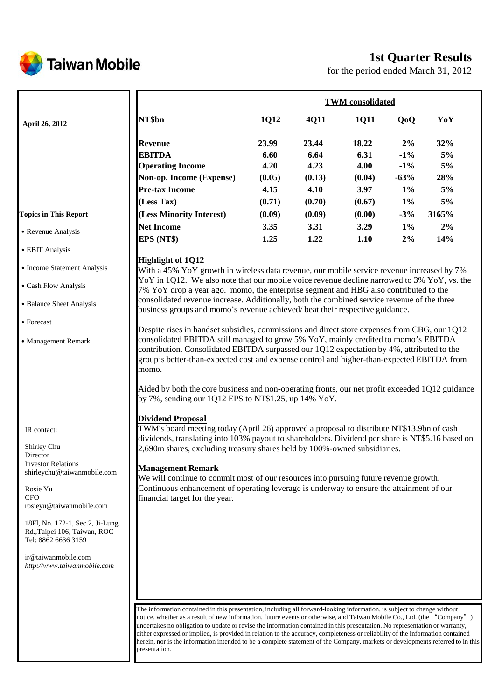

# **1st Quarter Results**

for the period ended March 31, 2012

|                                                                                                                                                                                                                                                                           |                                                                                                                                                                                                                                                                                                                                                                                                                                                                                                                               | <b>TWM</b> consolidated                 |                                         |                                         |                                           |                              |  |
|---------------------------------------------------------------------------------------------------------------------------------------------------------------------------------------------------------------------------------------------------------------------------|-------------------------------------------------------------------------------------------------------------------------------------------------------------------------------------------------------------------------------------------------------------------------------------------------------------------------------------------------------------------------------------------------------------------------------------------------------------------------------------------------------------------------------|-----------------------------------------|-----------------------------------------|-----------------------------------------|-------------------------------------------|------------------------------|--|
| April 26, 2012                                                                                                                                                                                                                                                            | NT\$bn                                                                                                                                                                                                                                                                                                                                                                                                                                                                                                                        | 1Q12                                    | 4Q11                                    | 1011                                    | QoQ                                       | YoY                          |  |
|                                                                                                                                                                                                                                                                           | <b>Revenue</b><br><b>EBITDA</b><br><b>Operating Income</b><br>Non-op. Income (Expense)<br><b>Pre-tax Income</b>                                                                                                                                                                                                                                                                                                                                                                                                               | 23.99<br>6.60<br>4.20<br>(0.05)<br>4.15 | 23.44<br>6.64<br>4.23<br>(0.13)<br>4.10 | 18.22<br>6.31<br>4.00<br>(0.04)<br>3.97 | 2%<br>$-1\%$<br>$-1\%$<br>$-63%$<br>$1\%$ | 32%<br>5%<br>5%<br>28%<br>5% |  |
|                                                                                                                                                                                                                                                                           | (Less Tax)                                                                                                                                                                                                                                                                                                                                                                                                                                                                                                                    | (0.71)                                  | (0.70)                                  | (0.67)                                  | $1\%$                                     | 5%                           |  |
| <b>Topics in This Report</b><br>• Revenue Analysis                                                                                                                                                                                                                        | (Less Minority Interest)<br><b>Net Income</b><br>EPS (NT\$)                                                                                                                                                                                                                                                                                                                                                                                                                                                                   | (0.09)<br>3.35<br>1.25                  | (0.09)<br>3.31<br>1.22                  | (0.00)<br>3.29<br>1.10                  | $-3%$<br>$1\%$<br>$2\%$                   | 3165%<br>2%<br>14%           |  |
| • EBIT Analysis                                                                                                                                                                                                                                                           |                                                                                                                                                                                                                                                                                                                                                                                                                                                                                                                               |                                         |                                         |                                         |                                           |                              |  |
| • Income Statement Analysis                                                                                                                                                                                                                                               | <b>Highlight of 1Q12</b><br>With a 45% YoY growth in wireless data revenue, our mobile service revenue increased by 7%                                                                                                                                                                                                                                                                                                                                                                                                        |                                         |                                         |                                         |                                           |                              |  |
| • Cash Flow Analysis                                                                                                                                                                                                                                                      | YoY in 1Q12. We also note that our mobile voice revenue decline narrowed to 3% YoY, vs. the<br>7% YoY drop a year ago. momo, the enterprise segment and HBG also contributed to the                                                                                                                                                                                                                                                                                                                                           |                                         |                                         |                                         |                                           |                              |  |
| • Balance Sheet Analysis                                                                                                                                                                                                                                                  | consolidated revenue increase. Additionally, both the combined service revenue of the three<br>business groups and momo's revenue achieved/beat their respective guidance.                                                                                                                                                                                                                                                                                                                                                    |                                         |                                         |                                         |                                           |                              |  |
| • Forecast                                                                                                                                                                                                                                                                | Despite rises in handset subsidies, commissions and direct store expenses from CBG, our 1Q12                                                                                                                                                                                                                                                                                                                                                                                                                                  |                                         |                                         |                                         |                                           |                              |  |
| • Management Remark                                                                                                                                                                                                                                                       | consolidated EBITDA still managed to grow 5% YoY, mainly credited to momo's EBITDA<br>contribution. Consolidated EBITDA surpassed our $1Q12$ expectation by 4%, attributed to the<br>group's better-than-expected cost and expense control and higher-than-expected EBITDA from<br>momo.<br>Aided by both the core business and non-operating fronts, our net profit exceeded 1Q12 guidance<br>by 7%, sending our 1Q12 EPS to NT\$1.25, up 14% $\text{YoY}$ .<br>Dividend Proposal                                            |                                         |                                         |                                         |                                           |                              |  |
| IR contact:<br>Shirley Chu<br>Director<br><b>Investor Relations</b><br>shirleychu@taiwanmobile.com<br>Rosie Yu<br><b>CFO</b><br>rosieyu@taiwanmobile.com<br>18Fl, No. 172-1, Sec.2, Ji-Lung<br>Rd., Taipei 106, Taiwan, ROC<br>Tel: 8862 6636 3159<br>ir@taiwanmobile.com | TWM's board meeting today (April 26) approved a proposal to distribute NT\$13.9bn of cash<br>dividends, translating into 103% payout to shareholders. Dividend per share is NT\$5.16 based on<br>2,690m shares, excluding treasury shares held by 100%-owned subsidiaries.<br><b>Management Remark</b><br>We will continue to commit most of our resources into pursuing future revenue growth.<br>Continuous enhancement of operating leverage is underway to ensure the attainment of our<br>financial target for the year. |                                         |                                         |                                         |                                           |                              |  |
| http://www.taiwanmobile.com                                                                                                                                                                                                                                               | The information contained in this presentation, including all forward-looking information, is subject to change without                                                                                                                                                                                                                                                                                                                                                                                                       |                                         |                                         |                                         |                                           |                              |  |

The information contained in this presentation, including all forward-looking information, is subject to change without notice, whether as a result of new information, future events or otherwise, and Taiwan Mobile Co., Ltd. (the "Company") undertakes no obligation to update or revise the information contained in this presentation. No representation or warranty, either expressed or implied, is provided in relation to the accuracy, completeness or reliability of the information contained herein, nor is the information intended to be a complete statement of the Company, markets or developments referred to in this presentation.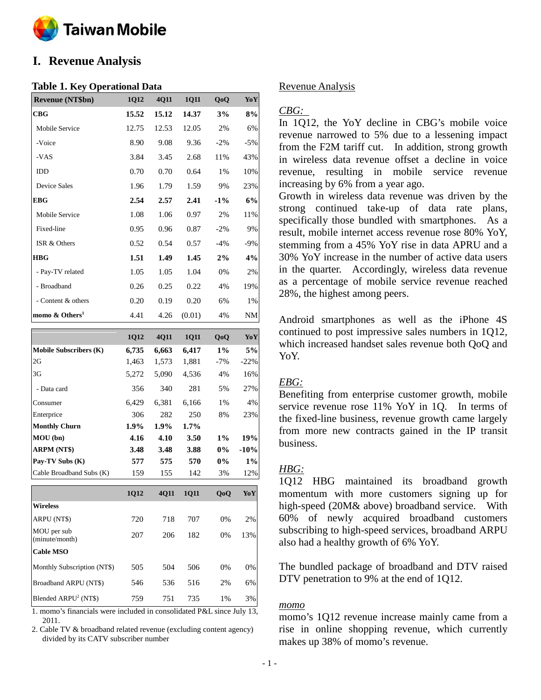

# **I. Revenue Analysis**

### **Table 1. Key Operational Data**

| <b>Revenue (NT\$bn)</b>    | 1Q12  | 4Q11  | <b>1011</b> | QoQ    | YoY   |
|----------------------------|-------|-------|-------------|--------|-------|
| CBG                        | 15.52 | 15.12 | 14.37       | 3%     | 8%    |
| Mobile Service             | 12.75 | 12.53 | 12.05       | 2%     | 6%    |
| -Voice                     | 8.90  | 9.08  | 9.36        | $-2\%$ | $-5%$ |
| -VAS                       | 3.84  | 3.45  | 2.68        | 11%    | 43%   |
| <b>IDD</b>                 | 0.70  | 0.70  | 0.64        | 1%     | 10%   |
| <b>Device Sales</b>        | 1.96  | 1.79  | 1.59        | 9%     | 23%   |
| <b>EBG</b>                 | 2.54  | 2.57  | 2.41        | $-1\%$ | 6%    |
| Mobile Service             | 1.08  | 1.06  | 0.97        | 2%     | 11%   |
| Fixed-line                 | 0.95  | 0.96  | 0.87        | $-2%$  | 9%    |
| ISR & Others               | 0.52  | 0.54  | 0.57        | $-4%$  | $-9%$ |
| <b>HBG</b>                 | 1.51  | 1.49  | 1.45        | 2%     | 4%    |
| - Pay-TV related           | 1.05  | 1.05  | 1.04        | 0%     | 2%    |
| - Broadband                | 0.26  | 0.25  | 0.22        | 4%     | 19%   |
| - Content & others         | 0.20  | 0.19  | 0.20        | 6%     | 1%    |
| momo & Others <sup>1</sup> | 4.41  | 4.26  | (0.01)      | 4%     | NΜ    |

|                                                                                                                           | 1Q12  | 4Q11  | 1Q11        | QoQ   | YoY        |
|---------------------------------------------------------------------------------------------------------------------------|-------|-------|-------------|-------|------------|
| <b>Mobile Subscribers (K)</b>                                                                                             | 6,735 | 6,663 | 6,417       | $1\%$ | 5%         |
| 2G                                                                                                                        | 1,463 | 1,573 | 1,881       | $-7%$ | $-22%$     |
| 3G                                                                                                                        | 5,272 | 5,090 | 4,536       | 4%    | 16%        |
| - Data card                                                                                                               | 356   | 340   | 281         | 5%    | 27%        |
| Consumer                                                                                                                  | 6,429 | 6,381 | 6,166       | 1%    | 4%         |
| Enterprice                                                                                                                | 306   | 282   | 250         | 8%    | 23%        |
| <b>Monthly Churn</b>                                                                                                      | 1.9%  | 1.9%  | 1.7%        |       |            |
| MOU (bn)                                                                                                                  | 4.16  | 4.10  | 3.50        | $1\%$ | 19%        |
| <b>ARPM (NT\$)</b>                                                                                                        | 3.48  | 3.48  | 3.88        | $0\%$ | $-10%$     |
| Pay-TV Subs (K)                                                                                                           | 577   | 575   | 570         | 0%    | $1\%$      |
| Cable Broadband Subs (K)                                                                                                  | 159   | 155   | 142         | 3%    | 12%        |
|                                                                                                                           | 1Q12  | 4Q11  | <b>1011</b> | QoQ   | <b>YoY</b> |
| <b>Wireless</b>                                                                                                           |       |       |             |       |            |
| ARPU (NT\$)                                                                                                               | 720   | 718   | 707         | 0%    | 2%         |
| MOU per sub<br>(minute/month)                                                                                             | 207   | 206   | 182         | 0%    | 13%        |
| <b>Cable MSO</b>                                                                                                          |       |       |             |       |            |
| Monthly Subscription (NT\$)                                                                                               | 505   | 504   | 506         | 0%    | 0%         |
| Broadband ARPU (NT\$)                                                                                                     | 546   | 536   | 516         | 2%    | 6%         |
| Blended ARPU <sup>2</sup> (NT\$)<br>$1$ momo's financials were included in consolidated $D_{\ell}I$ since $I_{\rm B}V$ 13 | 759   | 751   | 735         | 1%    | 3%         |

1. momo's financials were included in consolidated P&L since July 13, 2011.

2. Cable TV & broadband related revenue (excluding content agency) divided by its CATV subscriber number

### Revenue Analysis

### *CBG:*

In 1Q12, the YoY decline in CBG's mobile voice revenue narrowed to 5% due to a lessening impact from the F2M tariff cut. In addition, strong growth in wireless data revenue offset a decline in voice revenue, resulting in mobile service revenue increasing by 6% from a year ago.

Growth in wireless data revenue was driven by the strong continued take-up of data rate plans, specifically those bundled with smartphones. As a result, mobile internet access revenue rose 80% YoY, stemming from a 45% YoY rise in data APRU and a 30% YoY increase in the number of active data users in the quarter. Accordingly, wireless data revenue as a percentage of mobile service revenue reached 28%, the highest among peers.

Android smartphones as well as the iPhone 4S continued to post impressive sales numbers in 1Q12, which increased handset sales revenue both QoQ and YoY.

## *EBG:*

Benefiting from enterprise customer growth, mobile service revenue rose 11% YoY in 1Q. In terms of the fixed-line business, revenue growth came largely from more new contracts gained in the IP transit business.

# *HBG:*

1Q12 HBG maintained its broadband growth momentum with more customers signing up for high-speed (20M& above) broadband service. With 60% of newly acquired broadband customers subscribing to high-speed services, broadband ARPU also had a healthy growth of 6% YoY.

The bundled package of broadband and DTV raised DTV penetration to 9% at the end of 1Q12.

### *momo*

momo's 1Q12 revenue increase mainly came from a rise in online shopping revenue, which currently makes up 38% of momo's revenue.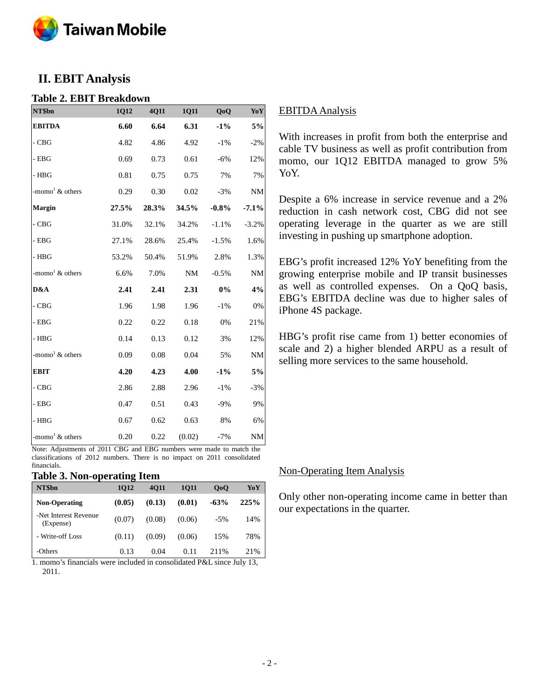

# **II. EBIT Analysis**

### **Table 2. EBIT Breakdown**

| NT\$bn                         | 1Q12  | 4Q11  | 1Q11   | QoQ     | YoY       |
|--------------------------------|-------|-------|--------|---------|-----------|
| <b>EBITDA</b>                  | 6.60  | 6.64  | 6.31   | $-1\%$  | $5\%$     |
| $-CBG$                         | 4.82  | 4.86  | 4.92   | $-1\%$  | $-2%$     |
| $-$ EBG                        | 0.69  | 0.73  | 0.61   | $-6%$   | 12%       |
| - HBG                          | 0.81  | 0.75  | 0.75   | 7%      | 7%        |
| -momo <sup>1</sup> & others    | 0.29  | 0.30  | 0.02   | $-3%$   | <b>NM</b> |
| Margin                         | 27.5% | 28.3% | 34.5%  | $-0.8%$ | $-7.1%$   |
| $-CBG$                         | 31.0% | 32.1% | 34.2%  | $-1.1%$ | $-3.2%$   |
| $-$ EBG                        | 27.1% | 28.6% | 25.4%  | $-1.5%$ | 1.6%      |
| $-$ HBG                        | 53.2% | 50.4% | 51.9%  | 2.8%    | 1.3%      |
| -momo <sup>1</sup> & others    | 6.6%  | 7.0%  | NM     | $-0.5%$ | <b>NM</b> |
| D&A                            | 2.41  | 2.41  | 2.31   | $0\%$   | 4%        |
| $-CBG$                         | 1.96  | 1.98  | 1.96   | $-1\%$  | 0%        |
| $-$ EBG                        | 0.22  | 0.22  | 0.18   | 0%      | 21%       |
| - HBG                          | 0.14  | 0.13  | 0.12   | 3%      | 12%       |
| -momo <sup>1</sup> $\&$ others | 0.09  | 0.08  | 0.04   | 5%      | <b>NM</b> |
| <b>EBIT</b>                    | 4.20  | 4.23  | 4.00   | $-1\%$  | 5%        |
| $-CBG$                         | 2.86  | 2.88  | 2.96   | $-1\%$  | $-3%$     |
| $-$ EBG                        | 0.47  | 0.51  | 0.43   | $-9%$   | 9%        |
| - HBG                          | 0.67  | 0.62  | 0.63   | 8%      | 6%        |
| -momo <sup>1</sup> & others    | 0.20  | 0.22  | (0.02) | $-7%$   | <b>NM</b> |

Note: Adjustments of 2011 CBG and EBG numbers were made to match the classifications of 2012 numbers. There is no impact on 2011 consolidated financials.

### **Table 3. Non-operating Item**

| NT\$bn                             | 1012   | 4011   | 1011   | 0 <sub>0</sub> | YoY  |
|------------------------------------|--------|--------|--------|----------------|------|
| <b>Non-Operating</b>               | (0.05) | (0.13) | (0.01) | $-63%$         | 225% |
| -Net Interest Revenue<br>(Expense) | (0.07) | (0.08) | (0.06) | $-5\%$         | 14%  |
| - Write-off Loss                   | (0.11) | (0.09) | (0.06) | 15%            | 78%  |
| -Others                            | 0.13   | 0.04   | 0.11   | 2.11%          | 21%  |

1. momo's financials were included in consolidated P&L since July 13, 2011.

## EBITDA Analysis

With increases in profit from both the enterprise and cable TV business as well as profit contribution from momo, our 1Q12 EBITDA managed to grow 5% YoY.

Despite a 6% increase in service revenue and a 2% reduction in cash network cost, CBG did not see operating leverage in the quarter as we are still investing in pushing up smartphone adoption.

EBG's profit increased 12% YoY benefiting from the growing enterprise mobile and IP transit businesses as well as controlled expenses. On a QoQ basis, EBG's EBITDA decline was due to higher sales of iPhone 4S package.

HBG's profit rise came from 1) better economies of scale and 2) a higher blended ARPU as a result of selling more services to the same household.

### Non-Operating Item Analysis

Only other non-operating income came in better than our expectations in the quarter.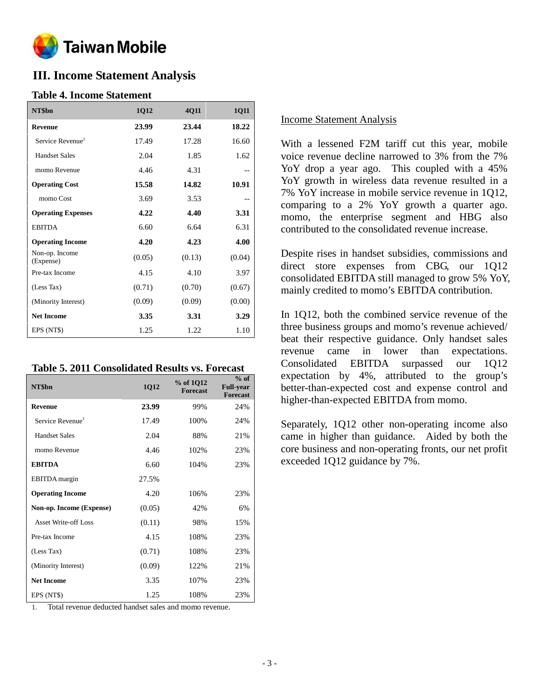

# **III. Income Statement Analysis**

### **Table 4. Income Statement**

| NT\$bn                       | 1Q12   | 4Q11   | <b>1Q11</b> |
|------------------------------|--------|--------|-------------|
| <b>Revenue</b>               | 23.99  | 23.44  | 18.22       |
| Service Revenue <sup>1</sup> | 17.49  | 17.28  | 16.60       |
| <b>Handset Sales</b>         | 2.04   | 1.85   | 1.62        |
| momo Revenue                 | 4.46   | 4.31   |             |
| <b>Operating Cost</b>        | 15.58  | 14.82  | 10.91       |
| momo Cost                    | 3.69   | 3.53   |             |
| <b>Operating Expenses</b>    | 4.22   | 4.40   | 3.31        |
| <b>EBITDA</b>                | 6.60   | 6.64   | 6.31        |
| <b>Operating Income</b>      | 4.20   | 4.23   | 4.00        |
| Non-op. Income<br>(Expense)  | (0.05) | (0.13) | (0.04)      |
| Pre-tax Income               | 4.15   | 4.10   | 3.97        |
| (Less Tax)                   | (0.71) | (0.70) | (0.67)      |
| (Minority Interest)          | (0.09) | (0.09) | (0.00)      |
| <b>Net Income</b>            | 3.35   | 3.31   | 3.29        |
| EPS (NT\$)                   | 1.25   | 1.22   | 1.10        |

|  | <b>Table 5. 2011 Consolidated Results vs. Forecast</b> |  |  |
|--|--------------------------------------------------------|--|--|
|--|--------------------------------------------------------|--|--|

| NT\$bn                       | 1Q12   | % of 1Q12<br><b>Forecast</b> | $%$ of<br><b>Full-year</b><br><b>Forecast</b> |
|------------------------------|--------|------------------------------|-----------------------------------------------|
| <b>Revenue</b>               | 23.99  | 99%                          | 24%                                           |
| Service Revenue <sup>1</sup> | 17.49  | 100%                         | 24%                                           |
| <b>Handset Sales</b>         | 2.04   | 88%                          | 21%                                           |
| momo Revenue                 | 4.46   | 102%                         | 23%                                           |
| <b>EBITDA</b>                | 6.60   | 104%                         | 23%                                           |
| <b>EBITDA</b> margin         | 27.5%  |                              |                                               |
| <b>Operating Income</b>      | 4.20   | 106%                         | 23%                                           |
| Non-op. Income (Expense)     | (0.05) | 42%                          | 6%                                            |
| Asset Write-off Loss         | (0.11) | 98%                          | 15%                                           |
| Pre-tax Income               | 4.15   | 108%                         | 23%                                           |
| (Less Tax)                   | (0.71) | 108%                         | 23%                                           |
| (Minority Interest)          | (0.09) | 122%                         | 21%                                           |
| <b>Net Income</b>            | 3.35   | 107%                         | 23%                                           |
| EPS (NT\$)                   | 1.25   | 108%                         | 23%                                           |

1. Total revenue deducted handset sales and momo revenue.

#### Income Statement Analysis

With a lessened F2M tariff cut this year, mobile voice revenue decline narrowed to 3% from the 7% Yo Y drop a year ago. This coupled with a  $45\%$ YoY growth in wireless data revenue resulted in a 7% YoY increase in mobile service revenue in 1Q12, comparing to a 2% YoY growth a quarter ago. momo, the enterprise segment and HBG also contributed to the consolidated revenue increase.

Despite rises in handset subsidies, commissions and direct store expenses from CBG, our 1Q12 consolidated EBITDA still managed to grow 5% YoY, mainly credited to momo's EBITDA contribution.

In 1Q12, both the combined service revenue of the three business groups and momo's revenue achieved/ beat their respective guidance. Only handset sales revenue came in lower than expectations. Consolidated EBITDA surpassed our 1Q12 expectation by 4%, attributed to the group's better-than-expected cost and expense control and higher-than-expected EBITDA from momo.

Separately, 1Q12 other non-operating income also came in higher than guidance. Aided by both the core business and non-operating fronts, our net profit exceeded 1Q12 guidance by 7%.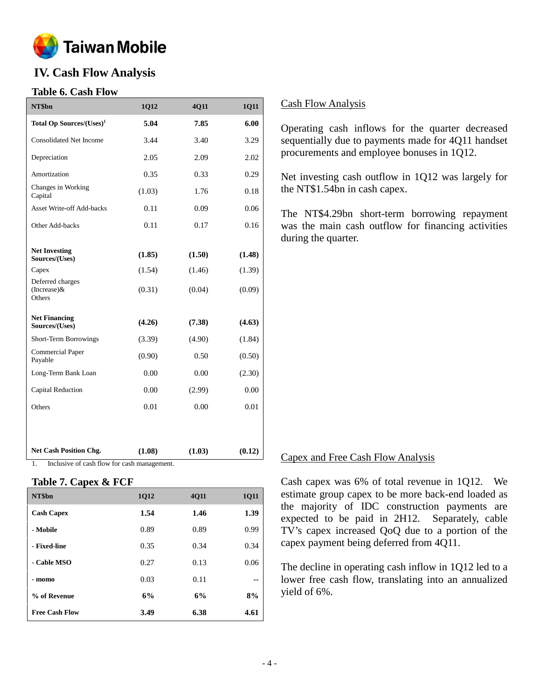

# **IV. Cash Flow Analysis**

## **Table 6. Cash Flow**

| NT\$bn                                     | 1Q12   | 4Q11   | 1Q11   |
|--------------------------------------------|--------|--------|--------|
| Total Op Sources/(Uses) <sup>1</sup>       | 5.04   | 7.85   | 6.00   |
| <b>Consolidated Net Income</b>             | 3.44   | 3.40   | 3.29   |
| Depreciation                               | 2.05   | 2.09   | 2.02   |
| Amortization                               | 0.35   | 0.33   | 0.29   |
| Changes in Working<br>Capital              | (1.03) | 1.76   | 0.18   |
| <b>Asset Write-off Add-backs</b>           | 0.11   | 0.09   | 0.06   |
| Other Add-backs                            | 0.11   | 0.17   | 0.16   |
|                                            |        |        |        |
| <b>Net Investing</b><br>Sources/(Uses)     | (1.85) | (1.50) | (1.48) |
| Capex                                      | (1.54) | (1.46) | (1.39) |
| Deferred charges<br>(Increase) &<br>Others | (0.31) | (0.04) | (0.09) |
| <b>Net Financing</b><br>Sources/(Uses)     | (4.26) | (7.38) | (4.63) |
| Short-Term Borrowings                      | (3.39) | (4.90) | (1.84) |
| <b>Commercial Paper</b><br>Payable         | (0.90) | 0.50   | (0.50) |
| Long-Term Bank Loan                        | 0.00   | 0.00   | (2.30) |
| Capital Reduction                          | 0.00   | (2.99) | 0.00   |
| Others                                     | 0.01   | 0.00   | 0.01   |
|                                            |        |        |        |
| <b>Net Cash Position Chg.</b>              | (1.08) | (1.03) | (0.12) |

1. Inclusive of cash flow for cash management.

## **Table 7. Capex & FCF**

| NT\$bn                | 1Q12 | <b>4011</b> | <b>1Q11</b> |
|-----------------------|------|-------------|-------------|
| <b>Cash Capex</b>     | 1.54 | 1.46        | 1.39        |
| - Mobile              | 0.89 | 0.89        | 0.99        |
| - Fixed-line          | 0.35 | 0.34        | 0.34        |
| - Cable MSO           | 0.27 | 0.13        | 0.06        |
| - momo                | 0.03 | 0.11        |             |
| % of Revenue          | 6%   | 6%          | 8%          |
| <b>Free Cash Flow</b> | 3.49 | 6.38        | 4.61        |

## Cash Flow Analysis

Operating cash inflows for the quarter decreased sequentially due to payments made for 4Q11 handset procurements and employee bonuses in 1Q12.

Net investing cash outflow in 1Q12 was largely for the NT\$1.54bn in cash capex.

The NT\$4.29bn short-term borrowing repayment was the main cash outflow for financing activities during the quarter.

### Capex and Free Cash Flow Analysis

Cash capex was 6% of total revenue in 1Q12. We estimate group capex to be more back-end loaded as the majority of IDC construction payments are expected to be paid in 2H12. Separately, cable TV's capex increased QoQ due to a portion of the capex payment being deferred from 4Q11.

The decline in operating cash inflow in 1Q12 led to a lower free cash flow, translating into an annualized yield of 6%.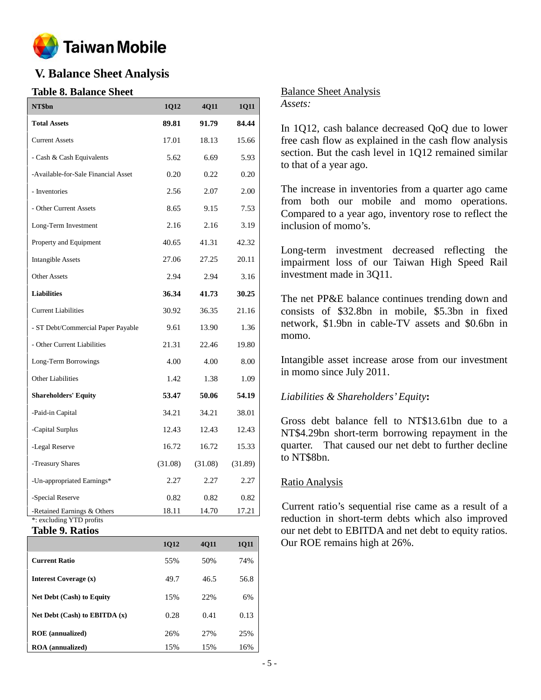

# **V. Balance Sheet Analysis**

# **Table 8. Balance Sheet**

| NT\$bn                                                  | 1Q12    | 4Q11    | 1Q11    |
|---------------------------------------------------------|---------|---------|---------|
| <b>Total Assets</b>                                     | 89.81   | 91.79   | 84.44   |
| <b>Current Assets</b>                                   | 17.01   | 18.13   | 15.66   |
| - Cash & Cash Equivalents                               | 5.62    | 6.69    | 5.93    |
| -Available-for-Sale Financial Asset                     | 0.20    | 0.22    | 0.20    |
| - Inventories                                           | 2.56    | 2.07    | 2.00    |
| - Other Current Assets                                  | 8.65    | 9.15    | 7.53    |
| Long-Term Investment                                    | 2.16    | 2.16    | 3.19    |
| Property and Equipment                                  | 40.65   | 41.31   | 42.32   |
| <b>Intangible Assets</b>                                | 27.06   | 27.25   | 20.11   |
| <b>Other Assets</b>                                     | 2.94    | 2.94    | 3.16    |
| <b>Liabilities</b>                                      | 36.34   | 41.73   | 30.25   |
| <b>Current Liabilities</b>                              | 30.92   | 36.35   | 21.16   |
| - ST Debt/Commercial Paper Payable                      | 9.61    | 13.90   | 1.36    |
| - Other Current Liabilities                             | 21.31   | 22.46   | 19.80   |
| Long-Term Borrowings                                    | 4.00    | 4.00    | 8.00    |
| <b>Other Liabilities</b>                                | 1.42    | 1.38    | 1.09    |
| <b>Shareholders' Equity</b>                             | 53.47   | 50.06   | 54.19   |
| -Paid-in Capital                                        | 34.21   | 34.21   | 38.01   |
| -Capital Surplus                                        | 12.43   | 12.43   | 12.43   |
| -Legal Reserve                                          | 16.72   | 16.72   | 15.33   |
| -Treasury Shares                                        | (31.08) | (31.08) | (31.89) |
| -Un-appropriated Earnings*                              | 2.27    | 2.27    | 2.27    |
| -Special Reserve                                        | 0.82    | 0.82    | 0.82    |
| -Retained Earnings & Others<br>*: excluding YTD profits | 18.11   | 14.70   | 17.21   |

## **Table 9. Ratios**

|                                  | 1Q12 | <b>4011</b> | <b>1011</b> |
|----------------------------------|------|-------------|-------------|
| <b>Current Ratio</b>             | 55%  | 50%         | 74%         |
| Interest Coverage (x)            | 49.7 | 46.5        | 56.8        |
| <b>Net Debt (Cash) to Equity</b> | 15%  | 22%         | 6%          |
| Net Debt (Cash) to EBITDA (x)    | 0.28 | 0.41        | 0.13        |
| <b>ROE</b> (annualized)          | 26%  | 27%         | 25%         |
| <b>ROA</b> (annualized)          | 15%  | 15%         | 16%         |

## Balance Sheet Analysis

### *Assets:*

In 1Q12, cash balance decreased QoQ due to lower free cash flow as explained in the cash flow analysis section. But the cash level in 1Q12 remained similar to that of a year ago.

The increase in inventories from a quarter ago came from both our mobile and momo operations. Compared to a year ago, inventory rose to reflect the inclusion of momo's.

Long-term investment decreased reflecting the impairment loss of our Taiwan High Speed Rail investment made in 3Q11.

The net PP&E balance continues trending down and consists of \$32.8bn in mobile, \$5.3bn in fixed network, \$1.9bn in cable-TV assets and \$0.6bn in momo.

Intangible asset increase arose from our investment in momo since July 2011.

# *Liabilities & Shareholders'Equity***:**

Gross debt balance fell to NT\$13.61bn due to a NT\$4.29bn short-term borrowing repayment in the quarter. That caused our net debt to further decline to NT\$8bn.

## Ratio Analysis

Current ratio's sequential rise came as a result of a reduction in short-term debts which also improved our net debt to EBITDA and net debt to equity ratios. Our ROE remains high at 26%.